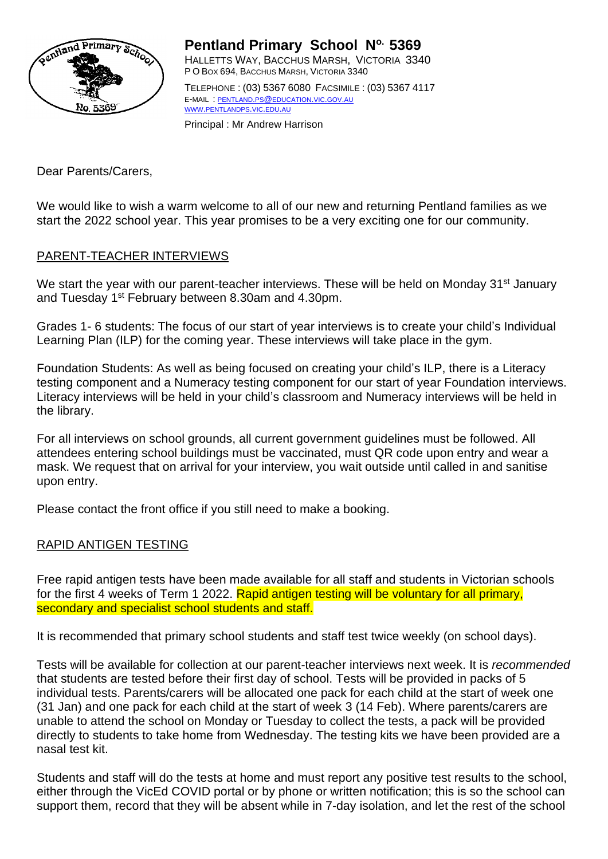

**Pentland Primary School No. 5369** HALLETTS WAY, BACCHUS MARSH, VICTORIA 3340 P O BOX 694, BACCHUS MARSH, VICTORIA 3340 TELEPHONE : (03) 5367 6080 FACSIMILE : (03) 5367 4117 E-MAIL : PENTLAND.PS@[EDUCATION](mailto:pentland.ps@education.vic.gov.au).VIC.GOV.AU WWW.[PENTLANDPS](http://www.pentlandps.vic.edu.au/).VIC.EDU.AU

Principal : Mr Andrew Harrison

Dear Parents/Carers,

We would like to wish a warm welcome to all of our new and returning Pentland families as we start the 2022 school year. This year promises to be a very exciting one for our community.

## PARENT-TEACHER INTERVIEWS

We start the year with our parent-teacher interviews. These will be held on Monday 31<sup>st</sup> January and Tuesday 1<sup>st</sup> February between 8.30am and 4.30pm.

Grades 1- 6 students: The focus of our start of year interviews is to create your child's Individual Learning Plan (ILP) for the coming year. These interviews will take place in the gym.

Foundation Students: As well as being focused on creating your child's ILP, there is a Literacy testing component and a Numeracy testing component for our start of year Foundation interviews. Literacy interviews will be held in your child's classroom and Numeracy interviews will be held in the library.

For all interviews on school grounds, all current government guidelines must be followed. All attendees entering school buildings must be vaccinated, must QR code upon entry and wear a mask. We request that on arrival for your interview, you wait outside until called in and sanitise upon entry.

Please contact the front office if you still need to make a booking.

## RAPID ANTIGEN TESTING

Free rapid antigen tests have been made available for all staff and students in Victorian schools for the first 4 weeks of Term 1 2022. Rapid antigen testing will be voluntary for all primary, secondary and specialist school students and staff.

It is recommended that primary school students and staff test twice weekly (on school days).

Tests will be available for collection at our parent-teacher interviews next week. It is *recommended* that students are tested before their first day of school. Tests will be provided in packs of 5 individual tests. Parents/carers will be allocated one pack for each child at the start of week one (31 Jan) and one pack for each child at the start of week 3 (14 Feb). Where parents/carers are unable to attend the school on Monday or Tuesday to collect the tests, a pack will be provided directly to students to take home from Wednesday. The testing kits we have been provided are a nasal test kit.

Students and staff will do the tests at home and must report any positive test results to the school, either through the VicEd COVID portal or by phone or written notification; this is so the school can support them, record that they will be absent while in 7-day isolation, and let the rest of the school